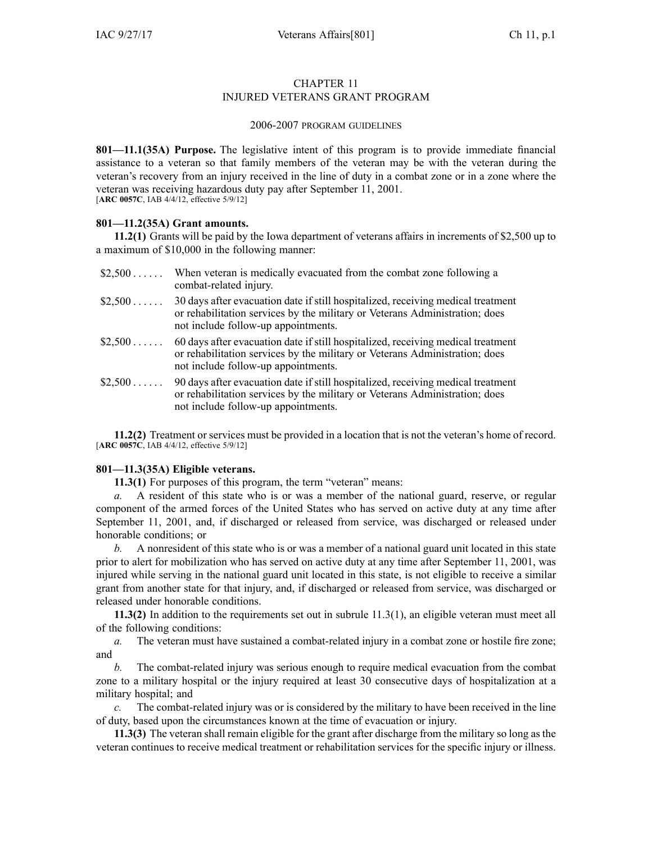# CHAPTER 11 INJURED VETERANS GRANT PROGRAM

#### 2006-2007 PROGRAM GUIDELINES

**801—11.1(35A) Purpose.** The legislative intent of this program is to provide immediate financial assistance to <sup>a</sup> veteran so that family members of the veteran may be with the veteran during the veteran's recovery from an injury received in the line of duty in <sup>a</sup> combat zone or in <sup>a</sup> zone where the veteran was receiving hazardous duty pay after September 11, 2001. [**ARC [0057C](https://www.legis.iowa.gov/docs/aco/arc/0057C.pdf)**, IAB 4/4/12, effective 5/9/12]

### **801—11.2(35A) Grant amounts.**

**11.2(1)** Grants will be paid by the Iowa department of veterans affairs in increments of \$2,500 up to <sup>a</sup> maximum of \$10,000 in the following manner:

| \$2,500  | When veteran is medically evacuated from the combat zone following a<br>combat-related injury.                                                                                                         |
|----------|--------------------------------------------------------------------------------------------------------------------------------------------------------------------------------------------------------|
| \$2,500  | 30 days after evacuation date if still hospitalized, receiving medical treatment<br>or rehabilitation services by the military or Veterans Administration; does<br>not include follow-up appointments. |
| $$2,500$ | 60 days after evacuation date if still hospitalized, receiving medical treatment<br>or rehabilitation services by the military or Veterans Administration; does<br>not include follow-up appointments. |
| \$2,500  | 90 days after evacuation date if still hospitalized, receiving medical treatment<br>or rehabilitation services by the military or Veterans Administration; does<br>not include follow-up appointments. |

**11.2(2)** Treatment or services must be provided in <sup>a</sup> location that is not the veteran's home of record. [**ARC [0057C](https://www.legis.iowa.gov/docs/aco/arc/0057C.pdf)**, IAB 4/4/12, effective 5/9/12]

### **801—11.3(35A) Eligible veterans.**

**11.3(1)** For purposes of this program, the term "veteran" means:

*a.* A resident of this state who is or was <sup>a</sup> member of the national guard, reserve, or regular componen<sup>t</sup> of the armed forces of the United States who has served on active duty at any time after September 11, 2001, and, if discharged or released from service, was discharged or released under honorable conditions; or

*b.* A nonresident of this state who is or was <sup>a</sup> member of <sup>a</sup> national guard unit located in this state prior to alert for mobilization who has served on active duty at any time after September 11, 2001, was injured while serving in the national guard unit located in this state, is not eligible to receive <sup>a</sup> similar gran<sup>t</sup> from another state for that injury, and, if discharged or released from service, was discharged or released under honorable conditions.

**11.3(2)** In addition to the requirements set out in subrule [11.3\(1\)](https://www.legis.iowa.gov/docs/iac/rule/801.11.3.pdf), an eligible veteran must meet all of the following conditions:

*a.* The veteran must have sustained a combat-related injury in a combat zone or hostile fire zone; and

*b.* The combat-related injury was serious enough to require medical evacuation from the combat zone to <sup>a</sup> military hospital or the injury required at least 30 consecutive days of hospitalization at <sup>a</sup> military hospital; and

*c.* The combat-related injury was or is considered by the military to have been received in the line of duty, based upon the circumstances known at the time of evacuation or injury.

**11.3(3)** The veteran shall remain eligible for the gran<sup>t</sup> after discharge from the military so long as the veteran continues to receive medical treatment or rehabilitation services for the specific injury or illness.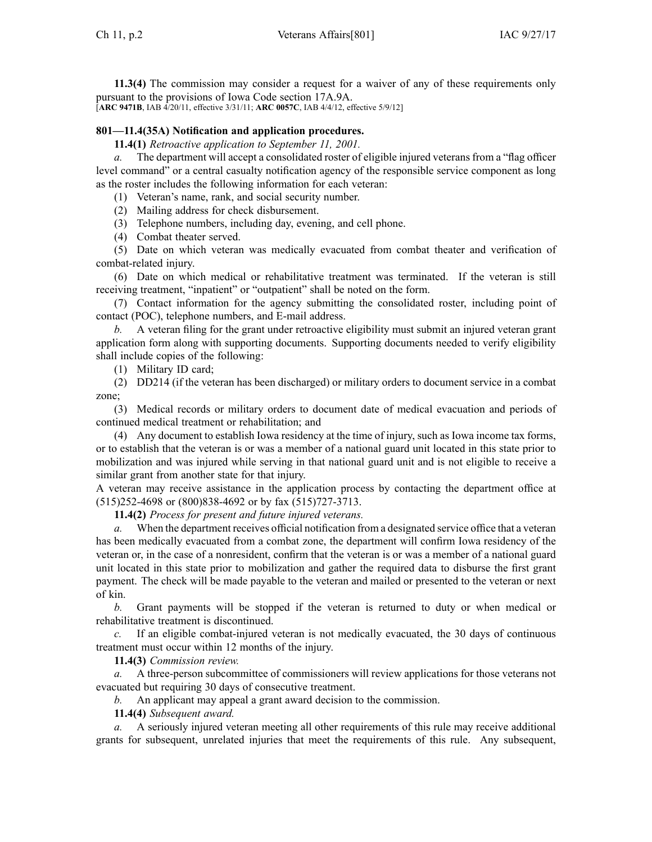**11.3(4)** The commission may consider <sup>a</sup> reques<sup>t</sup> for <sup>a</sup> waiver of any of these requirements only pursuan<sup>t</sup> to the provisions of Iowa Code section [17A.9A](https://www.legis.iowa.gov/docs/ico/section/17A.9A.pdf). [**ARC [9471B](https://www.legis.iowa.gov/docs/aco/arc/9471B.pdf)**, IAB 4/20/11, effective 3/31/11; **ARC [0057C](https://www.legis.iowa.gov/docs/aco/arc/0057C.pdf)**, IAB 4/4/12, effective 5/9/12]

# **801—11.4(35A) Notification and application procedures.**

**11.4(1)** *Retroactive application to September 11, 2001.*

*a.* The department will accep<sup>t</sup> <sup>a</sup> consolidated roster of eligible injured veterans from <sup>a</sup> "flag officer level command" or <sup>a</sup> central casualty notification agency of the responsible service componen<sup>t</sup> as long as the roster includes the following information for each veteran:

(1) Veteran's name, rank, and social security number.

(2) Mailing address for check disbursement.

(3) Telephone numbers, including day, evening, and cell phone.

(4) Combat theater served.

(5) Date on which veteran was medically evacuated from combat theater and verification of combat-related injury.

(6) Date on which medical or rehabilitative treatment was terminated. If the veteran is still receiving treatment, "inpatient" or "outpatient" shall be noted on the form.

(7) Contact information for the agency submitting the consolidated roster, including point of contact (POC), telephone numbers, and E-mail address.

*b.* A veteran filing for the gran<sup>t</sup> under retroactive eligibility must submit an injured veteran gran<sup>t</sup> application form along with supporting documents. Supporting documents needed to verify eligibility shall include copies of the following:

(1) Military ID card;

(2) DD214 (if the veteran has been discharged) or military orders to document service in <sup>a</sup> combat zone;

(3) Medical records or military orders to document date of medical evacuation and periods of continued medical treatment or rehabilitation; and

(4) Any document to establish Iowa residency at the time of injury, such as Iowa income tax forms, or to establish that the veteran is or was <sup>a</sup> member of <sup>a</sup> national guard unit located in this state prior to mobilization and was injured while serving in that national guard unit and is not eligible to receive <sup>a</sup> similar gran<sup>t</sup> from another state for that injury.

A veteran may receive assistance in the application process by contacting the department office at (515)252-4698 or (800)838-4692 or by fax (515)727-3713.

**11.4(2)** *Process for presen<sup>t</sup> and future injured veterans.*

*a.* When the department receives official notification from <sup>a</sup> designated service office that <sup>a</sup> veteran has been medically evacuated from <sup>a</sup> combat zone, the department will confirm Iowa residency of the veteran or, in the case of <sup>a</sup> nonresident, confirm that the veteran is or was <sup>a</sup> member of <sup>a</sup> national guard unit located in this state prior to mobilization and gather the required data to disburse the first gran<sup>t</sup> payment. The check will be made payable to the veteran and mailed or presented to the veteran or next of kin.

*b.* Grant payments will be stopped if the veteran is returned to duty or when medical or rehabilitative treatment is discontinued.

*c.* If an eligible combat-injured veteran is not medically evacuated, the 30 days of continuous treatment must occur within 12 months of the injury.

**11.4(3)** *Commission review.*

*a.* A three-person subcommittee of commissioners will review applications for those veterans not evacuated but requiring 30 days of consecutive treatment.

*b.* An applicant may appeal <sup>a</sup> gran<sup>t</sup> award decision to the commission.

**11.4(4)** *Subsequent award.*

*a.* A seriously injured veteran meeting all other requirements of this rule may receive additional grants for subsequent, unrelated injuries that meet the requirements of this rule. Any subsequent,